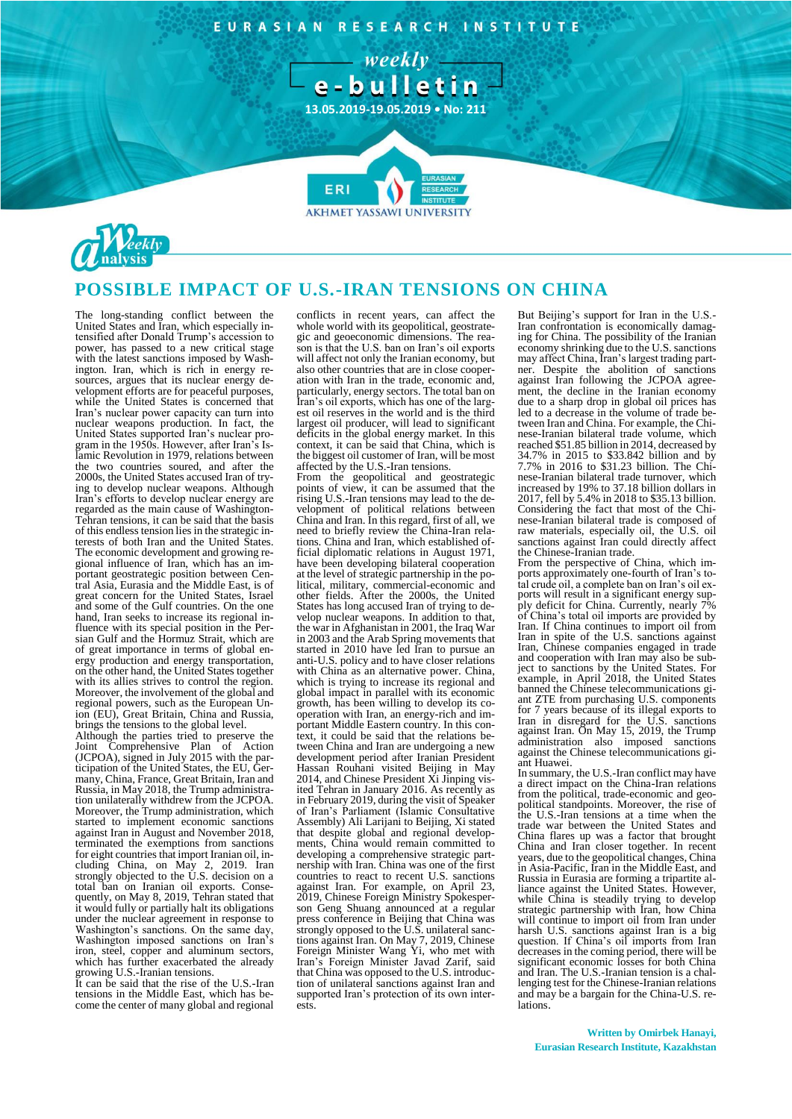EURASIAN RESEARCH INSTITUTE

 $-$  weekly  $$ e-bulletin

**13.05.2019-19.05.2019 • No: 211**

**7**

**AKHMET YASSAWI UNIVERSIT** 



## **POSSIBLE IMPACT OF U.S.-IRAN TENSIONS ON CHINA**

**FRI** 

The long-standing conflict between the United States and Iran, which especially intensified after Donald Trump's accession to power, has passed to a new critical stage with the latest sanctions imposed by Washington. Iran, which is rich in energy resources, argues that its nuclear energy development efforts are for peaceful purposes, while the United States is concerned that Iran's nuclear power capacity can turn into nuclear weapons production. In fact, the United States supported Iran's nuclear program in the 1950s. However, after Iran's Islamic Revolution in 1979, relations between the two countries soured, and after the 2000s, the United States accused Iran of trying to develop nuclear weapons. Although Iran's efforts to develop nuclear energy are regarded as the main cause of Washington-Tehran tensions, it can be said that the basis of this endless tension lies in the strategic interests of both Iran and the United States. The economic development and growing regional influence of Iran, which has an important geostrategic position between Central Asia, Eurasia and the Middle East, is of great concern for the United States, Israel and some of the Gulf countries. On the one hand, Iran seeks to increase its regional influence with its special position in the Persian Gulf and the Hormuz Strait, which are of great importance in terms of global energy production and energy transportation, on the other hand, the United States together with its allies strives to control the region. Moreover, the involvement of the global and regional powers, such as the European Union (EU), Great Britain, China and Russia, brings the tensions to the global level.

Although the parties tried to preserve the Joint Comprehensive Plan of Action (JCPOA), signed in July 2015 with the participation of the United States, the EU, Germany, China, France, Great Britain, Iran and Russia, in May 2018, the Trump administration unilaterally withdrew from the JCPOA. Moreover, the Trump administration, which started to implement economic sanctions against Iran in August and November 2018, terminated the exemptions from sanctions for eight countries that import Iranian oil, including China, on May 2, 2019. Iran strongly objected to the U.S. decision on a total ban on Iranian oil exports. Consequently, on May 8, 2019, Tehran stated that it would fully or partially halt its obligations under the nuclear agreement in response to Washington's sanctions. On the same day, Washington imposed sanctions on Iran's iron, steel, copper and aluminum sectors, which has further exacerbated the already growing U.S.-Iranian tensions.

It can be said that the rise of the U.S.-Iran tensions in the Middle East, which has become the center of many global and regional conflicts in recent years, can affect the whole world with its geopolitical, geostrategic and geoeconomic dimensions. The reason is that the U.S. ban on Iran's oil exports will affect not only the Iranian economy, but also other countries that are in close cooperation with Iran in the trade, economic and, particularly, energy sectors. The total ban on Iran's oil exports, which has one of the largest oil reserves in the world and is the third largest oil producer, will lead to significant deficits in the global energy market. In this context, it can be said that China, which is the biggest oil customer of Iran, will be most affected by the U.S.-Iran tensions.

From the geopolitical and geostrategic points of view, it can be assumed that the rising U.S.-Iran tensions may lead to the development of political relations between China and Iran. In this regard, first of all, we need to briefly review the China-Iran relations. China and Iran, which established official diplomatic relations in August 1971, have been developing bilateral cooperation at the level of strategic partnership in the political, military, commercial-economic and other fields. After the 2000s, the United States has long accused Iran of trying to develop nuclear weapons. In addition to that, the war in Afghanistan in 2001, the Iraq War in 2003 and the Arab Spring movements that started in 2010 have led Iran to pursue an anti-U.S. policy and to have closer relations with China as an alternative power. China, which is trying to increase its regional and global impact in parallel with its economic growth, has been willing to develop its cooperation with Iran, an energy-rich and important Middle Eastern country. In this context, it could be said that the relations between China and Iran are undergoing a new development period after Iranian President Hassan Rouhani visited Beijing in May 2014, and Chinese President Xi Jinping visited Tehran in January 2016. As recently as in February 2019, during the visit of Speaker of Iran's Parliament (Islamic Consultative Assembly) Ali Larijani to Beijing, Xi stated that despite global and regional developments, China would remain committed to developing a comprehensive strategic partnership with Iran. China was one of the first countries to react to recent U.S. sanctions against Iran. For example, on April 23, 2019, Chinese Foreign Ministry Spokesperson Geng Shuang announced at a regular press conference in Beijing that China was strongly opposed to the U.S. unilateral sanctions against Iran. On May 7, 2019, Chinese Foreign Minister Wang Yi, who met with Iran's Foreign Minister Javad Zarif, said that China was opposed to the U.S. introduction of unilateral sanctions against Iran and supported Iran's protection of its own interests.

But Beijing's support for Iran in the U.S.- Iran confrontation is economically damaging for China. The possibility of the Iranian economy shrinking due to the U.S. sanctions may affect China, Iran's largest trading partner. Despite the abolition of sanctions against Iran following the JCPOA agreement, the decline in the Iranian economy due to a sharp drop in global oil prices has led to a decrease in the volume of trade between Iran and China. For example, the Chinese-Iranian bilateral trade volume, which reached \$51.85 billion in 2014, decreased by 34.7% in 2015 to \$33.842 billion and by 7.7% in 2016 to \$31.23 billion. The Chinese-Iranian bilateral trade turnover, which increased by 19% to 37.18 billion dollars in 2017, fell by 5.4% in 2018 to \$35.13 billion. Considering the fact that most of the Chinese-Iranian bilateral trade is composed of raw materials, especially oil, the U.S. oil sanctions against Iran could directly affect the Chinese-Iranian trade.

From the perspective of China, which imports approximately one-fourth of Iran's total crude oil, a complete ban on Iran's oil exports will result in a significant energy sup-ply deficit for China. Currently, nearly 7% of China's total oil imports are provided by Iran. If China continues to import oil from Iran in spite of the U.S. sanctions against Iran, Chinese companies engaged in trade and cooperation with Iran may also be sub-ject to sanctions by the United States. For example, in April 2018, the United States banned the Chinese telecommunications giant ZTE from purchasing U.S. components for 7 years because of its illegal exports to Iran in disregard for the U.S. sanctions against Iran. On May 15, 2019, the Trump administration also imposed sanctions against the Chinese telecommunications giant Huawei.

In summary, the U.S.-Iran conflict may have a direct impact on the China-Iran relations from the political, trade-economic and geopolitical standpoints. Moreover, the rise of the U.S.-Iran tensions at a time when the trade war between the United States and China flares up was a factor that brought China and Iran closer together. In recent years, due to the geopolitical changes, China in Asia-Pacific, Iran in the Middle East, and Russia in Eurasia are forming a tripartite alliance against the United States. However, while China is steadily trying to develop strategic partnership with Iran, how China will continue to import oil from Iran under harsh U.S. sanctions against Iran is a big question. If China's oil imports from Iran decreases in the coming period, there will be significant economic losses for both China and Iran. The U.S.-Iranian tension is a chal-lenging test for the Chinese-Iranian relations and may be a bargain for the China-U.S. relations.

**Written by Omirbek Hanayi, Eurasian Research Institute, Kazakhstan**